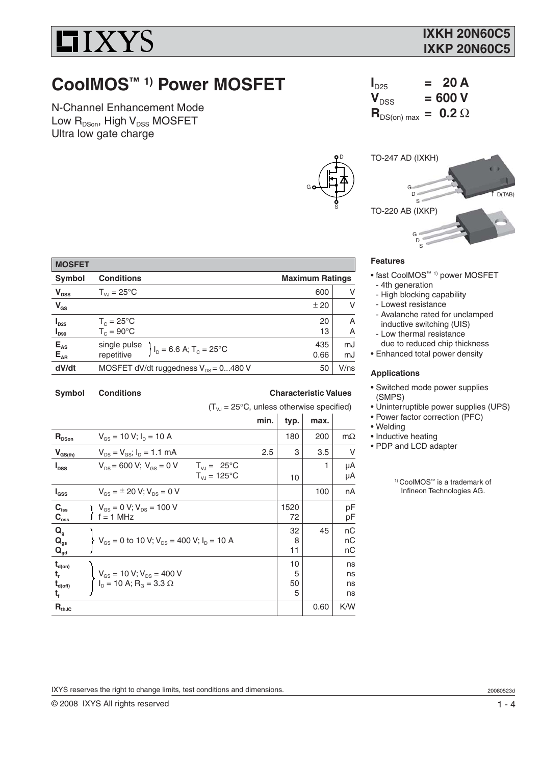

# **CoolMOS™ 1) Power MOSFET**

N-Channel Enhancement Mode Low  $R_{DSon}$ , High  $V_{DSS}$  MOSFET Ultra low gate charge

| <b>TO-247 AD (IXKH)</b> |                       |
|-------------------------|-----------------------|
|                         |                       |
| G                       | $\overline{1}$ D(TAB) |
| TO-220 AB (IXKP)        |                       |
| G                       |                       |
|                         |                       |

 $I_{D25}$  = 20 A<br> $V_{DSS}$  = 600 V

 $\mathbf{R}_{DS(on) max} = 0.2 \Omega$ 

 $= 600 V$ 

### **Features**

D

S

G

- fast CoolMOS™ 1) power MOSFET - 4th generation
- High blocking capability
- Lowest resistance
- Avalanche rated for unclamped inductive switching (UIS)
- Low thermal resistance
- due to reduced chip thickness • Enhanced total power density

### **Applications**

- Switched mode power supplies (SMPS)
- Uninterruptible power supplies (UPS)
- Power factor correction (PFC)
- Welding
- Inductive heating
- PDP and LCD adapter

1) CoolMOS™ is a trademark of Infineon Technologies AG.

| Symbol                                   | <b>Conditions</b>                                              | <b>Maximum Ratings</b> |          |
|------------------------------------------|----------------------------------------------------------------|------------------------|----------|
| $V_{DSS}$                                | $T_{VJ} = 25^{\circ}C$                                         | 600                    | v        |
| $V_{GS}$                                 |                                                                | ± 20                   | v        |
| $I_{D25}$<br>$\mathbf{I}_{\texttt{D90}}$ | $T_c = 25^{\circ}C$<br>$T_c = 90^{\circ}$ C                    | 20<br>13               | A<br>A   |
| $E_{\text{AS}}$<br>$E_{\text{AR}}$       | single pulse<br>$I_D = 6.6 A; T_C = 25^{\circ}C$<br>repetitive | 435<br>0.66            | mJ<br>mJ |
| dV/dt                                    | MOSFET dV/dt ruggedness $V_{DS} = 0480$ V                      | 50                     | V/ns     |
|                                          |                                                                |                        |          |

Symbol Conditions **Conditions** Characteristic Values

**MOSFET**

 $(T_{\nu J} = 25^{\circ}C$ , unless otherwise specified)

|                                                          |                                                                                           | min. | typ.               | max. |                      |
|----------------------------------------------------------|-------------------------------------------------------------------------------------------|------|--------------------|------|----------------------|
| $R_{DSon}$                                               | $V_{gs}$ = 10 V; $I_{p}$ = 10 A                                                           |      | 180                | 200  | $m\Omega$            |
| $V_{GS(th)}$                                             | $V_{DS} = V_{GS}$ ; $I_D = 1.1$ mA                                                        | 2.5  | 3                  | 3.5  | V                    |
| $I_{\text{DSS}}$                                         | $V_{DS}$ = 600 V; $V_{GS}$ = 0 V<br>$T_{V,I} = 25^{\circ}C$<br>$T_{V,I} = 125^{\circ}C$   |      | 10                 | 1    | μA<br>μA             |
| $I_{GSS}$                                                | $V_{\text{gs}} = \pm 20 \text{ V}; V_{\text{ps}} = 0 \text{ V}$                           |      |                    | 100  | nA                   |
| $C_{\text{iss}}$<br>$C_{\rm oss}$                        | $V_{GS} = 0 V; V_{DS} = 100 V$<br>$\int f = 1$ MHz                                        |      | 1520<br>72         |      | pF<br>pF             |
| $\mathbf{Q}_{g}$<br>$Q_{gs}$<br>$\mathbf{Q}_{\text{gd}}$ | $V_{GS}$ = 0 to 10 V; $V_{DS}$ = 400 V; $I_D$ = 10 A                                      |      | 32<br>8<br>11      | 45   | nC<br>nC<br>nC       |
| $t_{d(on)}$<br>t,<br>$t_{d(off)}$<br>t,                  | $V_{GS} = 10 \text{ V}; V_{DS} = 400 \text{ V}$<br>$I_D = 10 \text{ A}; R_G = 3.3 \Omega$ |      | 10<br>5<br>50<br>5 |      | ns<br>ns<br>ns<br>ns |
| $\mathbf{R}_{\text{thJC}}$                               |                                                                                           |      |                    | 0.60 | K/W                  |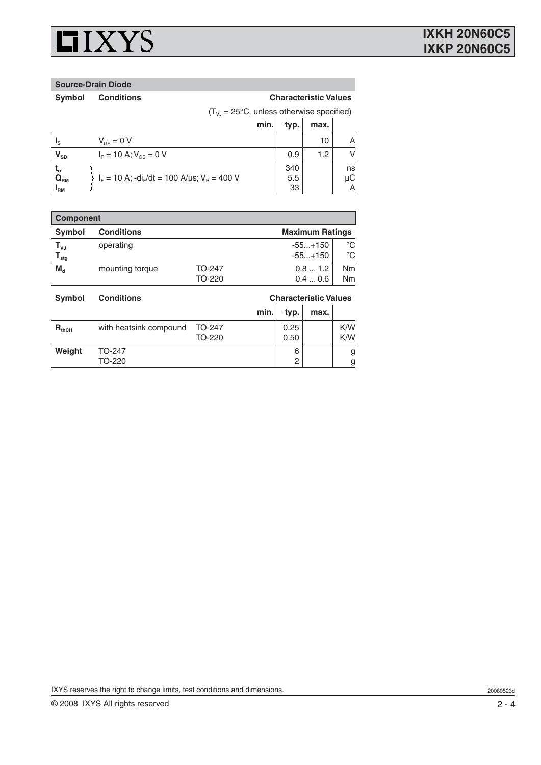

**Source-Drain Diode**

Symbol Conditions **Conditions** Characteristic Values

 $(T_{\text{VJ}} = 25^{\circ} \text{C}$ , unless otherwise specified)

|                            |                                                                   | min. | typ. | max. |    |
|----------------------------|-------------------------------------------------------------------|------|------|------|----|
| Iς                         | $V_{gs} = 0 V$                                                    |      |      | 10   | Α  |
| $\mathsf{V}_{\mathsf{SD}}$ | $I_{\rm E} = 10 \text{ A}; V_{\rm GS} = 0 \text{ V}$              |      | 0.9  | 1.2  | V  |
| ւր                         |                                                                   |      | 340  |      | ns |
| $Q_{\text{RM}}$            | $I_F = 10$ A; $-dI_F/dt = 100$ A/ $\mu$ s; V <sub>B</sub> = 400 V |      | 5.5  |      | μC |
| l <sub>RM</sub>            |                                                                   |      | 33   |      | A  |

| <b>Component</b>                                           |                                             |                  |                        |                             |  |  |  |
|------------------------------------------------------------|---------------------------------------------|------------------|------------------------|-----------------------------|--|--|--|
| <b>Symbol</b>                                              | <b>Maximum Ratings</b><br><b>Conditions</b> |                  |                        |                             |  |  |  |
| $\mathsf{T}_{\mathsf{vJ}}$<br>${\mathsf T}_{\textsf{stg}}$ | operating                                   |                  | $-55+150$<br>$-55+150$ | $^{\circ}C$<br>$^{\circ}C$  |  |  |  |
| $M_{d}$                                                    | mounting torque                             | TO-247<br>TO-220 | 0.81.2<br>0.40.6       | <b>Nm</b><br>N <sub>m</sub> |  |  |  |

| <b>Symbol</b>     | <b>Characteristic Values</b><br><b>Conditions</b> |                  |      |              |      |            |
|-------------------|---------------------------------------------------|------------------|------|--------------|------|------------|
|                   |                                                   |                  | min. | typ.         | max. |            |
| $R_{\text{thCH}}$ | with heatsink compound                            | TO-247<br>TO-220 |      | 0.25<br>0.50 |      | K/W<br>K/W |
| Weight            | TO-247<br>TO-220                                  |                  |      | 6<br>2       |      | g<br>g     |

IXYS reserves the right to change limits, test conditions and dimensions.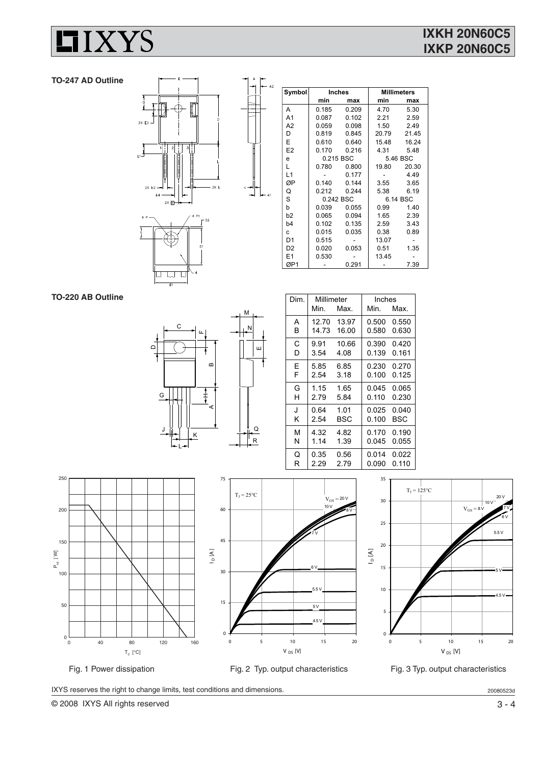

### **TO-247 AD Outline**



| Symbol         | <b>Inches</b> |               | <b>Millimeters</b> |           |
|----------------|---------------|---------------|--------------------|-----------|
|                | min           | max           | min                | max       |
| A              | 0.185         | 0.209         | 4.70               | 5.30      |
| A <sub>1</sub> | 0.087         | 0.102         | 2.21               | 2.59      |
| A2             | 0.059         | 0.098         | 1.50               | 2.49      |
| D              | 0.819         | 0.845         | 20.79              | 21.45     |
| E              |               | 0.610 0.640   | 15.48              | 16.24     |
| E2             |               | 0.170 0.216   |                    | 4.31 5.48 |
| e              | 0.215 BSC     |               |                    | 5.46 BSC  |
| L              | 0.780         | 0.800         | 19.80              | 20.30     |
| L1             |               | 0.177         |                    | 4.49      |
| ØΡ             | 0.140         | 0.144         | 3.55               | 3.65      |
| Q              |               | $0.212$ 0.244 | 5.38               | 6.19      |
| S              | 0.242 BSC     |               | 6.14 BSC           |           |
| b              | 0.039         | 0.055         | 0.99               | 140       |
| b <sub>2</sub> | 0.065         | 0.094         | 1.65               | 2.39      |
| b <sub>4</sub> | 0.102         | 0.135         | 2.59               | 3.43      |
| c              | 0.015         | 0.035         | 0.38               | 0.89      |
| D <sub>1</sub> | 0.515         |               | 13.07              |           |
| D <sub>2</sub> | 0.020         | 0.053         | 0.51               | 1.35      |
| E <sub>1</sub> | 0.530         |               | 13.45              |           |
| ØP1            |               | 0.291         |                    | 7.39      |

**TO-220 AB Outline**



| Dim. | Millimeter |       | Inches |       |  |  |
|------|------------|-------|--------|-------|--|--|
|      | Min.       | Max.  | Min.   | Max.  |  |  |
| А    | 12.70      | 13.97 | 0.500  | 0.550 |  |  |
| в    | 14.73      | 16.00 | 0.580  | 0.630 |  |  |
| C    | 9.91       | 10.66 | 0.390  | 0.420 |  |  |
| D    | 3.54       | 4.08  | 0.139  | 0.161 |  |  |
| F    | 5.85       | 6.85  | 0.230  | 0.270 |  |  |
| F    | 2.54       | 3.18  | 0.100  | 0.125 |  |  |
| G    | 1.15       | 1.65  | 0.045  | 0.065 |  |  |
| н    | 2.79       | 5.84  | 0.110  | 0.230 |  |  |
| J    | 0.64       | 1.01  | 0.025  | 0.040 |  |  |
| κ    | 2.54       | BSC   | 0.100  | BSC   |  |  |
| м    | 4.32       | 4.82  | 0.170  | 0.190 |  |  |
| N    | 1.14       | 1.39  | 0.045  | 0.055 |  |  |
| Q    | 0.35       | 0.56  | 0.014  | 0.022 |  |  |
| R    | 2.29       | 2.79  | 0.090  | 0.110 |  |  |
|      |            |       |        |       |  |  |







IXYS reserves the right to change limits, test conditions and dimensions.

© 2008 IXYS All rights reserved 3 - 4